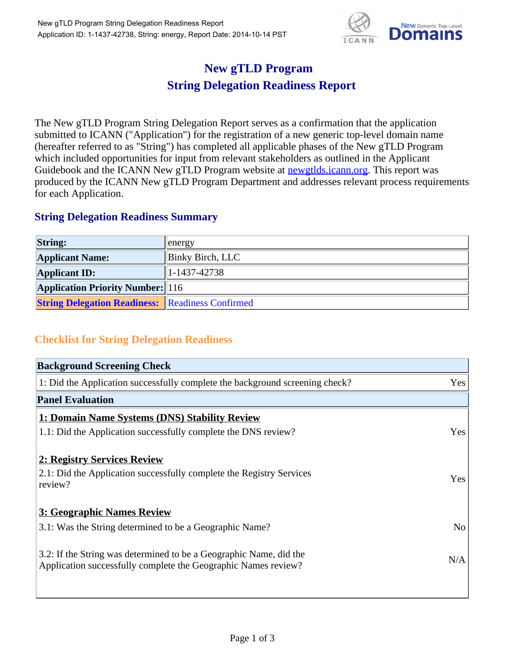

## **New gTLD Program String Delegation Readiness Report**

The New gTLD Program String Delegation Report serves as a confirmation that the application submitted to ICANN ("Application") for the registration of a new generic top-level domain name (hereafter referred to as "String") has completed all applicable phases of the New gTLD Program which included opportunities for input from relevant stakeholders as outlined in the Applicant Guidebook and the ICANN New gTLD Program website at **newgtlds.icann.org**. This report was produced by the ICANN New gTLD Program Department and addresses relevant process requirements for each Application.

## **String Delegation Readiness Summary**

| <b>String:</b>                                          | energy                  |
|---------------------------------------------------------|-------------------------|
| <b>Applicant Name:</b>                                  | <b>Binky Birch, LLC</b> |
| <b>Applicant ID:</b>                                    | 1-1437-42738            |
| <b>Application Priority Number:</b> 116                 |                         |
| <b>String Delegation Readiness: Readiness Confirmed</b> |                         |

## **Checklist for String Delegation Readiness**

| <b>Background Screening Check</b>                                                                                                    |                |
|--------------------------------------------------------------------------------------------------------------------------------------|----------------|
| 1: Did the Application successfully complete the background screening check?                                                         | Yes            |
| <b>Panel Evaluation</b>                                                                                                              |                |
| 1: Domain Name Systems (DNS) Stability Review                                                                                        |                |
| 1.1: Did the Application successfully complete the DNS review?                                                                       | Yes            |
| 2: Registry Services Review                                                                                                          |                |
| 2.1: Did the Application successfully complete the Registry Services<br>review?                                                      | Yes            |
| 3: Geographic Names Review                                                                                                           |                |
| 3.1: Was the String determined to be a Geographic Name?                                                                              | N <sub>o</sub> |
| 3.2: If the String was determined to be a Geographic Name, did the<br>Application successfully complete the Geographic Names review? | N/A            |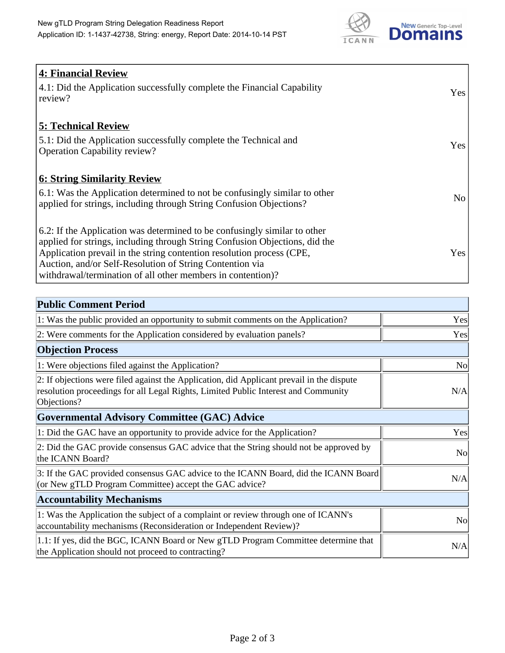

| <b>4: Financial Review</b><br>$\vert$ 4.1: Did the Application successfully complete the Financial Capability<br>review?                                                                                                                                                                                                                                     | <b>Yes</b> |
|--------------------------------------------------------------------------------------------------------------------------------------------------------------------------------------------------------------------------------------------------------------------------------------------------------------------------------------------------------------|------------|
| <b>5: Technical Review</b><br>5.1: Did the Application successfully complete the Technical and<br><b>Operation Capability review?</b>                                                                                                                                                                                                                        | <b>Yes</b> |
| <b>6: String Similarity Review</b><br>$\vert$ 6.1: Was the Application determined to not be confusingly similar to other<br>applied for strings, including through String Confusion Objections?                                                                                                                                                              | No         |
| 6.2: If the Application was determined to be confusingly similar to other<br>applied for strings, including through String Confusion Objections, did the<br>Application prevail in the string contention resolution process (CPE,<br>Auction, and/or Self-Resolution of String Contention via<br>withdrawal/termination of all other members in contention)? | Yes        |

| <b>Public Comment Period</b>                                                                                                                                                                   |                |
|------------------------------------------------------------------------------------------------------------------------------------------------------------------------------------------------|----------------|
| 1: Was the public provided an opportunity to submit comments on the Application?                                                                                                               | Yes            |
| 2: Were comments for the Application considered by evaluation panels?                                                                                                                          | Yes            |
| <b>Objection Process</b>                                                                                                                                                                       |                |
| 1: Were objections filed against the Application?                                                                                                                                              | N <sub>0</sub> |
| 2: If objections were filed against the Application, did Applicant prevail in the dispute<br>resolution proceedings for all Legal Rights, Limited Public Interest and Community<br>Objections? | N/A            |
| Governmental Advisory Committee (GAC) Advice                                                                                                                                                   |                |
| 1: Did the GAC have an opportunity to provide advice for the Application?                                                                                                                      | Yes            |
| 2: Did the GAC provide consensus GAC advice that the String should not be approved by<br>the ICANN Board?                                                                                      | <b>No</b>      |
| 3: If the GAC provided consensus GAC advice to the ICANN Board, did the ICANN Board<br>(or New gTLD Program Committee) accept the GAC advice?                                                  | N/A            |
| <b>Accountability Mechanisms</b>                                                                                                                                                               |                |
| 1: Was the Application the subject of a complaint or review through one of ICANN's<br>accountability mechanisms (Reconsideration or Independent Review)?                                       | N <sub>0</sub> |
| 1.1: If yes, did the BGC, ICANN Board or New gTLD Program Committee determine that<br>the Application should not proceed to contracting?                                                       | N/A            |